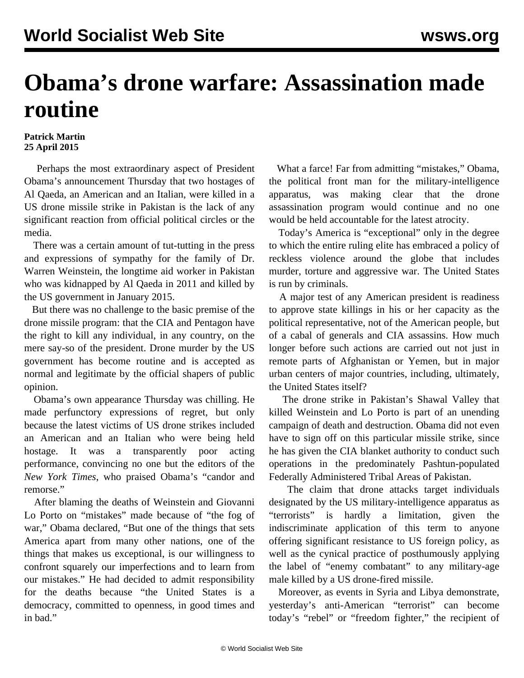## **Obama's drone warfare: Assassination made routine**

## **Patrick Martin 25 April 2015**

 Perhaps the most extraordinary aspect of President Obama's announcement Thursday that two hostages of Al Qaeda, an American and an Italian, were killed in a US drone missile strike in Pakistan is the lack of any significant reaction from official political circles or the media.

 There was a certain amount of tut-tutting in the press and expressions of sympathy for the family of Dr. Warren Weinstein, the longtime aid worker in Pakistan who was kidnapped by Al Qaeda in 2011 and killed by the US government in January 2015.

 But there was no challenge to the basic premise of the drone missile program: that the CIA and Pentagon have the right to kill any individual, in any country, on the mere say-so of the president. Drone murder by the US government has become routine and is accepted as normal and legitimate by the official shapers of public opinion.

 Obama's own appearance Thursday was chilling. He made perfunctory expressions of regret, but only because the latest victims of US drone strikes included an American and an Italian who were being held hostage. It was a transparently poor acting performance, convincing no one but the editors of the *New York Times*, who praised Obama's "candor and remorse."

 After blaming the deaths of Weinstein and Giovanni Lo Porto on "mistakes" made because of "the fog of war," Obama declared, "But one of the things that sets America apart from many other nations, one of the things that makes us exceptional, is our willingness to confront squarely our imperfections and to learn from our mistakes." He had decided to admit responsibility for the deaths because "the United States is a democracy, committed to openness, in good times and in bad."

 What a farce! Far from admitting "mistakes," Obama, the political front man for the military-intelligence apparatus, was making clear that the drone assassination program would continue and no one would be held accountable for the latest atrocity.

 Today's America is "exceptional" only in the degree to which the entire ruling elite has embraced a policy of reckless violence around the globe that includes murder, torture and aggressive war. The United States is run by criminals.

 A major test of any American president is readiness to approve state killings in his or her capacity as the political representative, not of the American people, but of a cabal of generals and CIA assassins. How much longer before such actions are carried out not just in remote parts of Afghanistan or Yemen, but in major urban centers of major countries, including, ultimately, the United States itself?

 The drone strike in Pakistan's Shawal Valley that killed Weinstein and Lo Porto is part of an unending campaign of death and destruction. Obama did not even have to sign off on this particular missile strike, since he has given the CIA blanket authority to conduct such operations in the predominately Pashtun-populated Federally Administered Tribal Areas of Pakistan.

 The claim that drone attacks target individuals designated by the US military-intelligence apparatus as "terrorists" is hardly a limitation, given the indiscriminate application of this term to anyone offering significant resistance to US foreign policy, as well as the cynical practice of posthumously applying the label of "enemy combatant" to any military-age male killed by a US drone-fired missile.

 Moreover, as events in Syria and Libya demonstrate, yesterday's anti-American "terrorist" can become today's "rebel" or "freedom fighter," the recipient of